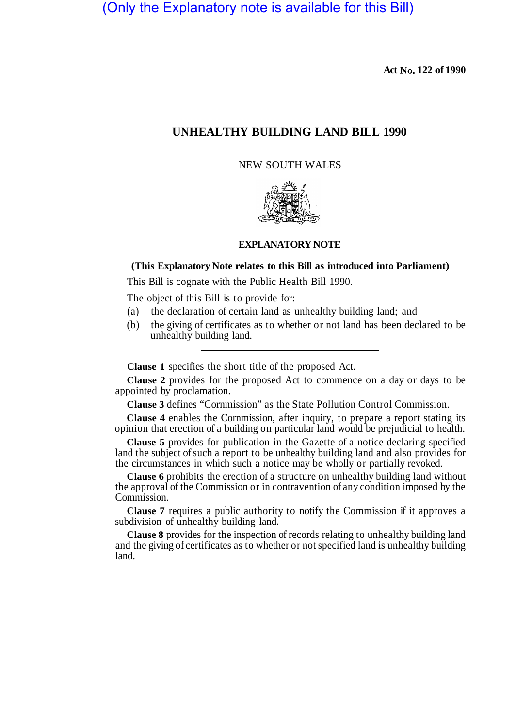(Only the Explanatory note is available for this Bill)

**Act No. 122 of 1990** 

## **UNHEALTHY BUILDING LAND BILL 1990**

NEW SOUTH WALES



## **EXPLANATORY NOTE**

## **(This Explanatory Note relates to this Bill as introduced into Parliament)**

This Bill is cognate with the Public Health Bill 1990.

The object of this Bill is to provide for:

- (a) the declaration of certain land as unhealthy building land; and
- (b) the giving of certificates as to whether or not land has been declared to be unhealthy building land.

**Clause 1** specifies the short title of the proposed Act.

**Clause 2** provides for the proposed Act to commence on a day or days to be appointed by proclamation.

**Clause 3** defines "Cornmission" as the State Pollution Control Commission.

**Clause 4** enables the Cornmission, after inquiry, to prepare a report stating its opinion that erection of a building on particular land would be prejudicial to health.

**Clause 5** provides for publication in the Gazette of a notice declaring specified land the subject of such a report to be unhealthy building land and also provides for the circumstances in which such a notice may be wholly or partially revoked.

**Clause 6** prohibits the erection of a structure on unhealthy building land without the approval of the Commission or in contravention of any condition imposed by the Commission.

**Clause 7** requires a public authority to notify the Commission if it approves a subdivision of unhealthy building land.

**Clause 8** provides for the inspection of records relating to unhealthy building land and the giving of certificates as to whether or not specified land is unhealthy building land.